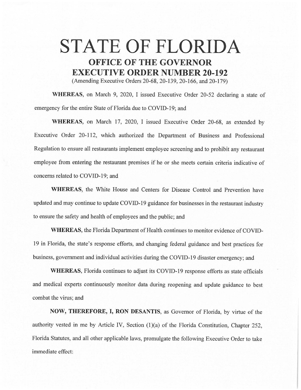## **STATE OF FLORIDA OFFICE OF THE GOVERNOR EXECUTIVE ORDER NUMBER 20-192**

(Amending Executive Orders 20-68, 20-139, 20-166, and 20-179)

**WHEREAS,** on March 9, 2020, I issued Executive Order 20-52 declaring a state of emergency for the entire State of Florida due to COVID-19; and

**WHEREAS,** on March 17, 2020, I issued Executive Order 20-68, as extended by Executive Order 20-112, which authorized the Department of Business and Professional Regulation to ensure all restaurants implement employee screening and to prohibit any restaurant employee from entering the restaurant premises if he or she meets certain criteria indicative of concerns related to COVID-19; and

**WHEREAS,** the White House and Centers for Disease Control and Prevention have updated and may continue to update COVID-19 guidance for businesses in the restaurant industry to ensure the safety and health of employees and the public; and

**WHEREAS,** the Florida Department of Health continues to monitor evidence of COVID-19 in Florida, the state's response efforts, and changing federal guidance and best practices for business, government and individual activities during the COVID-19 disaster emergency; and

**WHEREAS,** Florida continues to adjust its COVID-19 response efforts as state officials and medical experts continuously monitor data during reopening and update guidance to best combat the virus; and

**NOW, THEREFORE, I, RON DESANTIS,** as Governor of Florida, by virtue of the authority vested in me by Article IV, Section  $(1)(a)$  of the Florida Constitution, Chapter 252, Florida Statutes, and all other applicable laws, promulgate the following Executive Order to take immediate effect: